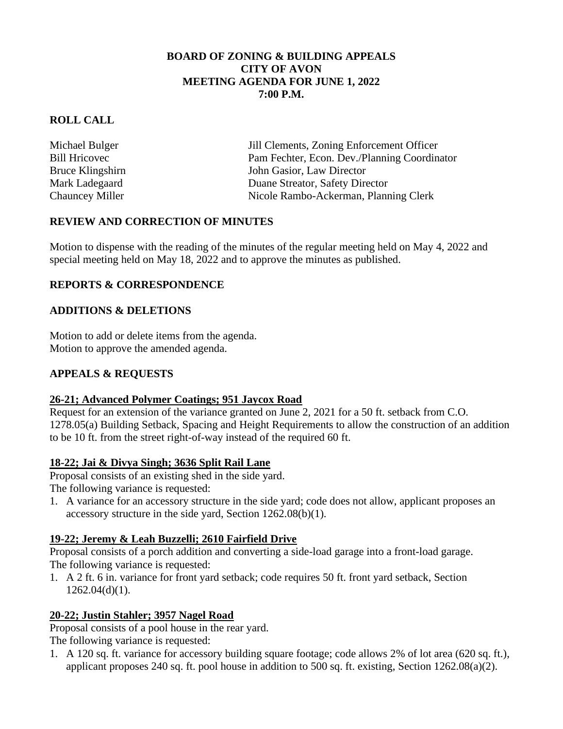#### **BOARD OF ZONING & BUILDING APPEALS CITY OF AVON MEETING AGENDA FOR JUNE 1, 2022 7:00 P.M.**

## **ROLL CALL**

Michael Bulger Jill Clements, Zoning Enforcement Officer Bill Hricovec Pam Fechter, Econ. Dev./Planning Coordinator Bruce Klingshirn John Gasior, Law Director Mark Ladegaard Duane Streator, Safety Director Chauncey Miller Nicole Rambo-Ackerman, Planning Clerk

## **REVIEW AND CORRECTION OF MINUTES**

Motion to dispense with the reading of the minutes of the regular meeting held on May 4, 2022 and special meeting held on May 18, 2022 and to approve the minutes as published.

## **REPORTS & CORRESPONDENCE**

### **ADDITIONS & DELETIONS**

Motion to add or delete items from the agenda. Motion to approve the amended agenda.

### **APPEALS & REQUESTS**

### **26-21; Advanced Polymer Coatings; 951 Jaycox Road**

Request for an extension of the variance granted on June 2, 2021 for a 50 ft. setback from C.O. 1278.05(a) Building Setback, Spacing and Height Requirements to allow the construction of an addition to be 10 ft. from the street right-of-way instead of the required 60 ft.

### **18-22; Jai & Divya Singh; 3636 Split Rail Lane**

Proposal consists of an existing shed in the side yard.

The following variance is requested:

1. A variance for an accessory structure in the side yard; code does not allow, applicant proposes an accessory structure in the side yard, Section 1262.08(b)(1).

### **19-22; Jeremy & Leah Buzzelli; 2610 Fairfield Drive**

Proposal consists of a porch addition and converting a side-load garage into a front-load garage. The following variance is requested:

1. A 2 ft. 6 in. variance for front yard setback; code requires 50 ft. front yard setback, Section  $1262.04(d)(1)$ .

### **20-22; Justin Stahler; 3957 Nagel Road**

Proposal consists of a pool house in the rear yard. The following variance is requested:

1. A 120 sq. ft. variance for accessory building square footage; code allows 2% of lot area (620 sq. ft.), applicant proposes 240 sq. ft. pool house in addition to 500 sq. ft. existing, Section 1262.08(a)(2).